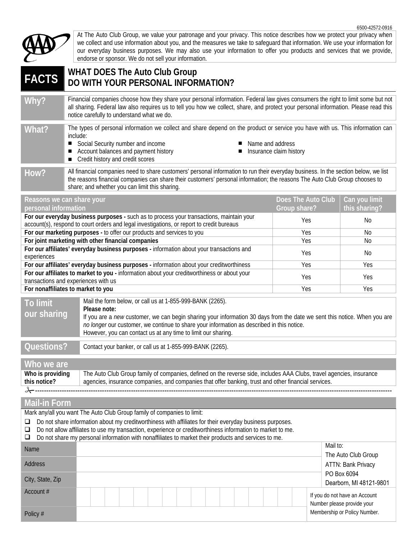

At The Auto Club Group, we value your patronage and your privacy. This notice describes how we protect your privacy when we collect and use information about you, and the measures we take to safeguard that information. We use your information for our everyday business purposes. We may also use your information to offer you products and services that we provide, endorse or sponsor. We do not sell your information.

## **FACTS WHAT DOES The Auto Club Group DO WITH YOUR PERSONAL INFORMATION?**

**Why?** Financial companies choose how they share your personal information. Federal law gives consumers the right to limit some but not all sharing. Federal law also requires us to tell you how we collect, share, and protect your personal information. Please read this notice carefully to understand what we do.

What? The types of personal information we collect and share depend on the product or service you have with us. This information can include:

- Social Security number and income 
Name and address
- Account balances and payment history <br>■ Insurance claim history
- Credit history and credit scores
- 
- 

How? All financial companies need to share customers' personal information to run their everyday business. In the section below, we list the reasons financial companies can share their customers' personal information; the reasons The Auto Club Group chooses to share; and whether you can limit this sharing.

| personal information<br>this sharing?<br>Group share?<br>For our everyday business purposes - such as to process your transactions, maintain your<br>Yes<br>No.<br>account(s), respond to court orders and legal investigations, or report to credit bureaus<br>For our marketing purposes - to offer our products and services to you<br><b>Yes</b><br>No.<br>For joint marketing with other financial companies<br>Yes<br>No.<br>For our affiliates' everyday business purposes - information about your transactions and<br>Yes<br>N <sub>0</sub><br>experiences |
|---------------------------------------------------------------------------------------------------------------------------------------------------------------------------------------------------------------------------------------------------------------------------------------------------------------------------------------------------------------------------------------------------------------------------------------------------------------------------------------------------------------------------------------------------------------------|
|                                                                                                                                                                                                                                                                                                                                                                                                                                                                                                                                                                     |
|                                                                                                                                                                                                                                                                                                                                                                                                                                                                                                                                                                     |
|                                                                                                                                                                                                                                                                                                                                                                                                                                                                                                                                                                     |
|                                                                                                                                                                                                                                                                                                                                                                                                                                                                                                                                                                     |
|                                                                                                                                                                                                                                                                                                                                                                                                                                                                                                                                                                     |
| For our affiliates' everyday business purposes - information about your creditworthiness<br>Yes<br>Yes                                                                                                                                                                                                                                                                                                                                                                                                                                                              |
| For our affiliates to market to you - information about your creditworthiness or about your<br>Yes<br>Yes<br>transactions and experiences with us                                                                                                                                                                                                                                                                                                                                                                                                                   |
| For nonaffiliates to market to you<br>Yes<br>Yes                                                                                                                                                                                                                                                                                                                                                                                                                                                                                                                    |

| To limit<br>our sharing | Mail the form below, or call us at 1-855-999-BANK (2265).<br>Please note:<br>If you are a new customer, we can begin sharing your information 30 days from the date we sent this notice. When you are<br>no longer our customer, we continue to share your information as described in this notice.<br>However, you can contact us at any time to limit our sharing. |
|-------------------------|----------------------------------------------------------------------------------------------------------------------------------------------------------------------------------------------------------------------------------------------------------------------------------------------------------------------------------------------------------------------|
| Questions?              | Contact your banker, or call us at 1-855-999-BANK (2265).                                                                                                                                                                                                                                                                                                            |

| Who we are       |                                                                                                                      |
|------------------|----------------------------------------------------------------------------------------------------------------------|
| Who is providing | The Auto Club Group family of companies, defined on the reverse side, includes AAA Clubs, travel agencies, insurance |
| this notice?     | agencies, insurance companies, and companies that offer banking, trust and other financial services.                 |
|                  |                                                                                                                      |

### **Mail-in Form**

| Mark any/all you want The Auto Club Group family of companies to limit:                                                                                                                                                                                                                                                                       |  |                                                             |  |  |
|-----------------------------------------------------------------------------------------------------------------------------------------------------------------------------------------------------------------------------------------------------------------------------------------------------------------------------------------------|--|-------------------------------------------------------------|--|--|
| Do not share information about my creditworthiness with affiliates for their everyday business purposes.<br>❏<br>Do not allow affiliates to use my transaction, experience or creditworthiness information to market to me.<br>⊔<br>Do not share my personal information with nonaffiliates to market their products and services to me.<br>⊔ |  |                                                             |  |  |
| <b>Name</b>                                                                                                                                                                                                                                                                                                                                   |  | Mail to:<br>The Auto Club Group                             |  |  |
| <b>Address</b>                                                                                                                                                                                                                                                                                                                                |  | ATTN: Bank Privacy                                          |  |  |
| City, State, Zip                                                                                                                                                                                                                                                                                                                              |  | PO Box 6094<br>Dearborn, MI 48121-9801                      |  |  |
| Account $#$                                                                                                                                                                                                                                                                                                                                   |  | If you do not have an Account<br>Number please provide your |  |  |
| Policy #                                                                                                                                                                                                                                                                                                                                      |  | Membership or Policy Number.                                |  |  |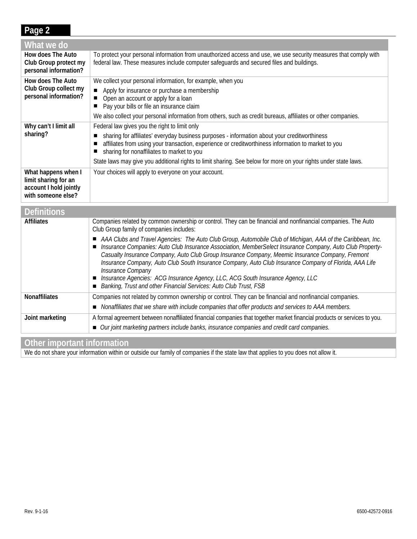## **Page 2**

| What we do                                                                                  |                                                                                                                                                                                                                                                   |
|---------------------------------------------------------------------------------------------|---------------------------------------------------------------------------------------------------------------------------------------------------------------------------------------------------------------------------------------------------|
| How does The Auto<br>Club Group protect my<br>personal information?                         | To protect your personal information from unauthorized access and use, we use security measures that comply with<br>federal law. These measures include computer safeguards and secured files and buildings.                                      |
| How does The Auto                                                                           | We collect your personal information, for example, when you                                                                                                                                                                                       |
| Club Group collect my<br>personal information?                                              | Apply for insurance or purchase a membership                                                                                                                                                                                                      |
|                                                                                             | Open an account or apply for a loan<br>Pay your bills or file an insurance claim                                                                                                                                                                  |
|                                                                                             | We also collect your personal information from others, such as credit bureaus, affiliates or other companies.                                                                                                                                     |
| Why can't I limit all                                                                       | Federal law gives you the right to limit only                                                                                                                                                                                                     |
| sharing?                                                                                    | sharing for affiliates' everyday business purposes - information about your creditworthiness<br>affiliates from using your transaction, experience or creditworthiness information to market to you<br>sharing for nonaffiliates to market to you |
|                                                                                             | State laws may give you additional rights to limit sharing. See below for more on your rights under state laws.                                                                                                                                   |
| What happens when I<br>limit sharing for an<br>account I hold jointly<br>with someone else? | Your choices will apply to everyone on your account.                                                                                                                                                                                              |
| $\mathbf{D}$ . $\mathbf{C}$ . $\mathbf{H}$                                                  |                                                                                                                                                                                                                                                   |

| <b>Definitions</b>   |                                                                                                                                                                                                                                                                                                                                                                                                                                                                                                                                                                                                                    |
|----------------------|--------------------------------------------------------------------------------------------------------------------------------------------------------------------------------------------------------------------------------------------------------------------------------------------------------------------------------------------------------------------------------------------------------------------------------------------------------------------------------------------------------------------------------------------------------------------------------------------------------------------|
| <b>Affiliates</b>    | Companies related by common ownership or control. They can be financial and nonfinancial companies. The Auto<br>Club Group family of companies includes:                                                                                                                                                                                                                                                                                                                                                                                                                                                           |
|                      | AAA Clubs and Travel Agencies: The Auto Club Group, Automobile Club of Michigan, AAA of the Caribbean, Inc.<br>Insurance Companies: Auto Club Insurance Association, MemberSelect Insurance Company, Auto Club Property-<br>Casualty Insurance Company, Auto Club Group Insurance Company, Meemic Insurance Company, Fremont<br>Insurance Company, Auto Club South Insurance Company, Auto Club Insurance Company of Florida, AAA Life<br>Insurance Company<br>Insurance Agencies: ACG Insurance Agency, LLC, ACG South Insurance Agency, LLC<br>Banking, Trust and other Financial Services: Auto Club Trust, FSB |
| <b>Nonaffiliates</b> | Companies not related by common ownership or control. They can be financial and nonfinancial companies.<br>Nonaffiliates that we share with include companies that offer products and services to AAA members.                                                                                                                                                                                                                                                                                                                                                                                                     |
| Joint marketing      | A formal agreement between nonaffiliated financial companies that together market financial products or services to you.<br>■ Our joint marketing partners include banks, insurance companies and credit card companies.                                                                                                                                                                                                                                                                                                                                                                                           |

# **Other important information**

We do not share your information within or outside our family of companies if the state law that applies to you does not allow it.